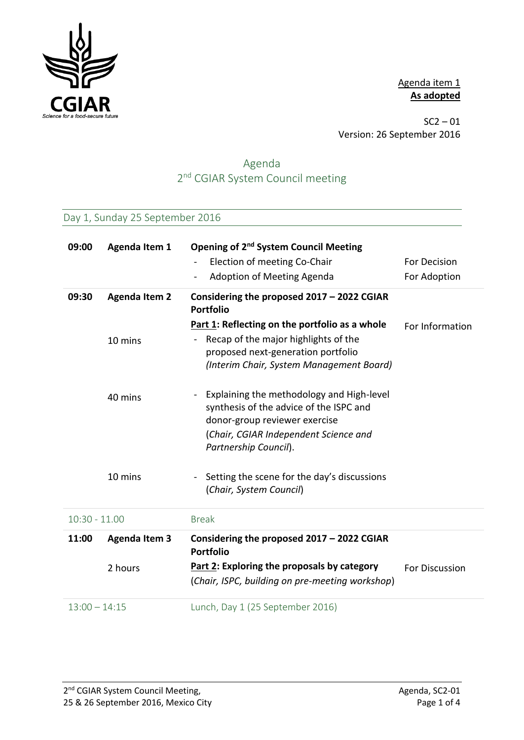

Agenda item 1 **As adopted**

 $SC2 - 01$ Version: 26 September 2016

# Agenda 2<sup>nd</sup> CGIAR System Council meeting

## Day 1, Sunday 25 September 2016

| 09:00           | <b>Agenda Item 1</b> | Opening of 2 <sup>nd</sup> System Council Meeting                                                                                                                                       |                 |
|-----------------|----------------------|-----------------------------------------------------------------------------------------------------------------------------------------------------------------------------------------|-----------------|
|                 |                      | Election of meeting Co-Chair<br>$\overline{\phantom{0}}$                                                                                                                                | For Decision    |
|                 |                      | <b>Adoption of Meeting Agenda</b><br>$\overline{\phantom{0}}$                                                                                                                           | For Adoption    |
| 09:30           | <b>Agenda Item 2</b> | Considering the proposed 2017 - 2022 CGIAR<br><b>Portfolio</b>                                                                                                                          |                 |
|                 | 10 mins              | Part 1: Reflecting on the portfolio as a whole<br>Recap of the major highlights of the<br>proposed next-generation portfolio<br>(Interim Chair, System Management Board)                | For Information |
|                 | 40 mins              | Explaining the methodology and High-level<br>synthesis of the advice of the ISPC and<br>donor-group reviewer exercise<br>(Chair, CGIAR Independent Science and<br>Partnership Council). |                 |
|                 | 10 mins              | Setting the scene for the day's discussions<br>(Chair, System Council)                                                                                                                  |                 |
| $10:30 - 11.00$ |                      | <b>Break</b>                                                                                                                                                                            |                 |
| 11:00           | <b>Agenda Item 3</b> | Considering the proposed 2017 - 2022 CGIAR<br><b>Portfolio</b>                                                                                                                          |                 |
|                 | 2 hours              | Part 2: Exploring the proposals by category                                                                                                                                             | For Discussion  |
|                 |                      | (Chair, ISPC, building on pre-meeting workshop)                                                                                                                                         |                 |
| $13:00 - 14:15$ |                      | Lunch, Day 1 (25 September 2016)                                                                                                                                                        |                 |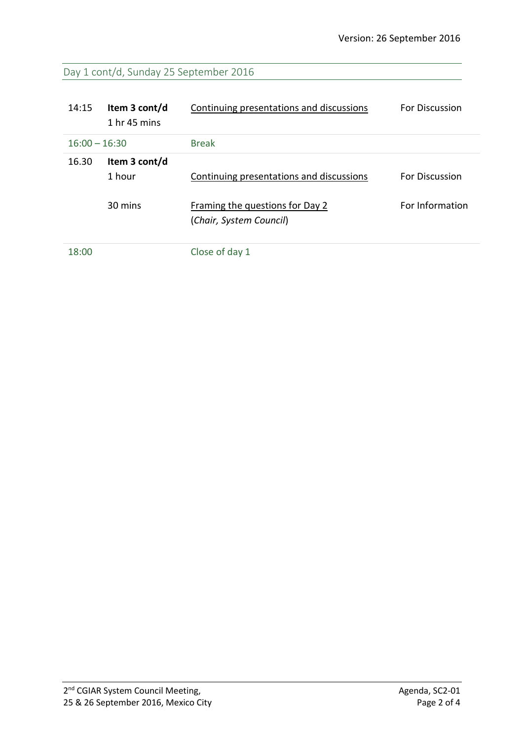## Day 1 cont/d, Sunday 25 September 2016

| 14:15           | Item 3 cont/d<br>$1hr$ 45 mins | Continuing presentations and discussions                   | <b>For Discussion</b> |
|-----------------|--------------------------------|------------------------------------------------------------|-----------------------|
| $16:00 - 16:30$ |                                | <b>Break</b>                                               |                       |
| 16.30           | Item 3 cont/d<br>1 hour        | Continuing presentations and discussions                   | <b>For Discussion</b> |
|                 | 30 mins                        | Framing the questions for Day 2<br>(Chair, System Council) | For Information       |
| 18:00           |                                | Close of day 1                                             |                       |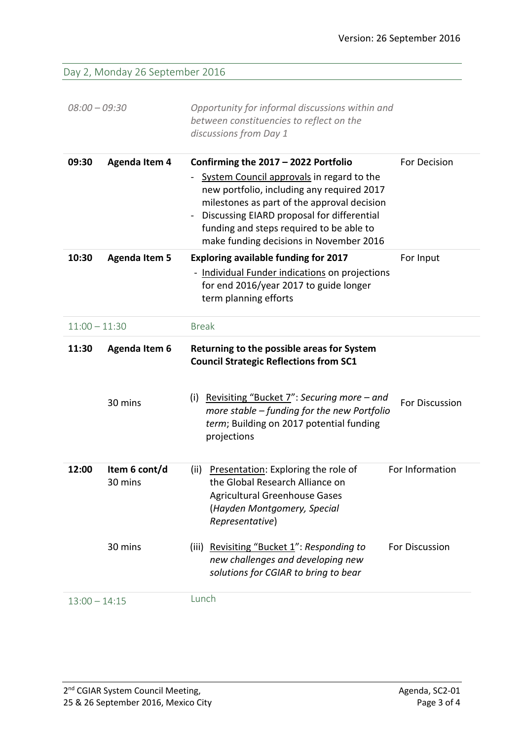Day 2, Monday 26 September 2016

| $08:00 - 09:30$ |                                 | Opportunity for informal discussions within and<br>between constituencies to reflect on the<br>discussions from Day 1                                                                                                                                                                                               |                 |
|-----------------|---------------------------------|---------------------------------------------------------------------------------------------------------------------------------------------------------------------------------------------------------------------------------------------------------------------------------------------------------------------|-----------------|
| 09:30           | <b>Agenda Item 4</b>            | Confirming the 2017 - 2022 Portfolio<br>System Council approvals in regard to the<br>new portfolio, including any required 2017<br>milestones as part of the approval decision<br>Discussing EIARD proposal for differential<br>funding and steps required to be able to<br>make funding decisions in November 2016 | For Decision    |
| 10:30           | <b>Agenda Item 5</b>            | <b>Exploring available funding for 2017</b><br>- Individual Funder indications on projections<br>for end 2016/year 2017 to guide longer<br>term planning efforts                                                                                                                                                    | For Input       |
| $11:00 - 11:30$ |                                 | <b>Break</b>                                                                                                                                                                                                                                                                                                        |                 |
| 11:30           | <b>Agenda Item 6</b><br>30 mins | Returning to the possible areas for System<br><b>Council Strategic Reflections from SC1</b><br><u>Revisiting "Bucket 7</u> ": Securing more – and<br>(i)<br>more stable - funding for the new Portfolio                                                                                                             | For Discussion  |
|                 |                                 | term; Building on 2017 potential funding<br>projections                                                                                                                                                                                                                                                             |                 |
| 12:00           | Item 6 cont/d<br>30 mins        | Presentation: Exploring the role of<br>(ii)<br>the Global Research Alliance on<br><b>Agricultural Greenhouse Gases</b><br>(Hayden Montgomery, Special<br>Representative)                                                                                                                                            | For Information |
|                 | 30 mins                         | (iii) Revisiting "Bucket 1": Responding to<br>new challenges and developing new<br>solutions for CGIAR to bring to bear                                                                                                                                                                                             | For Discussion  |
| $13:00 - 14:15$ |                                 | Lunch                                                                                                                                                                                                                                                                                                               |                 |